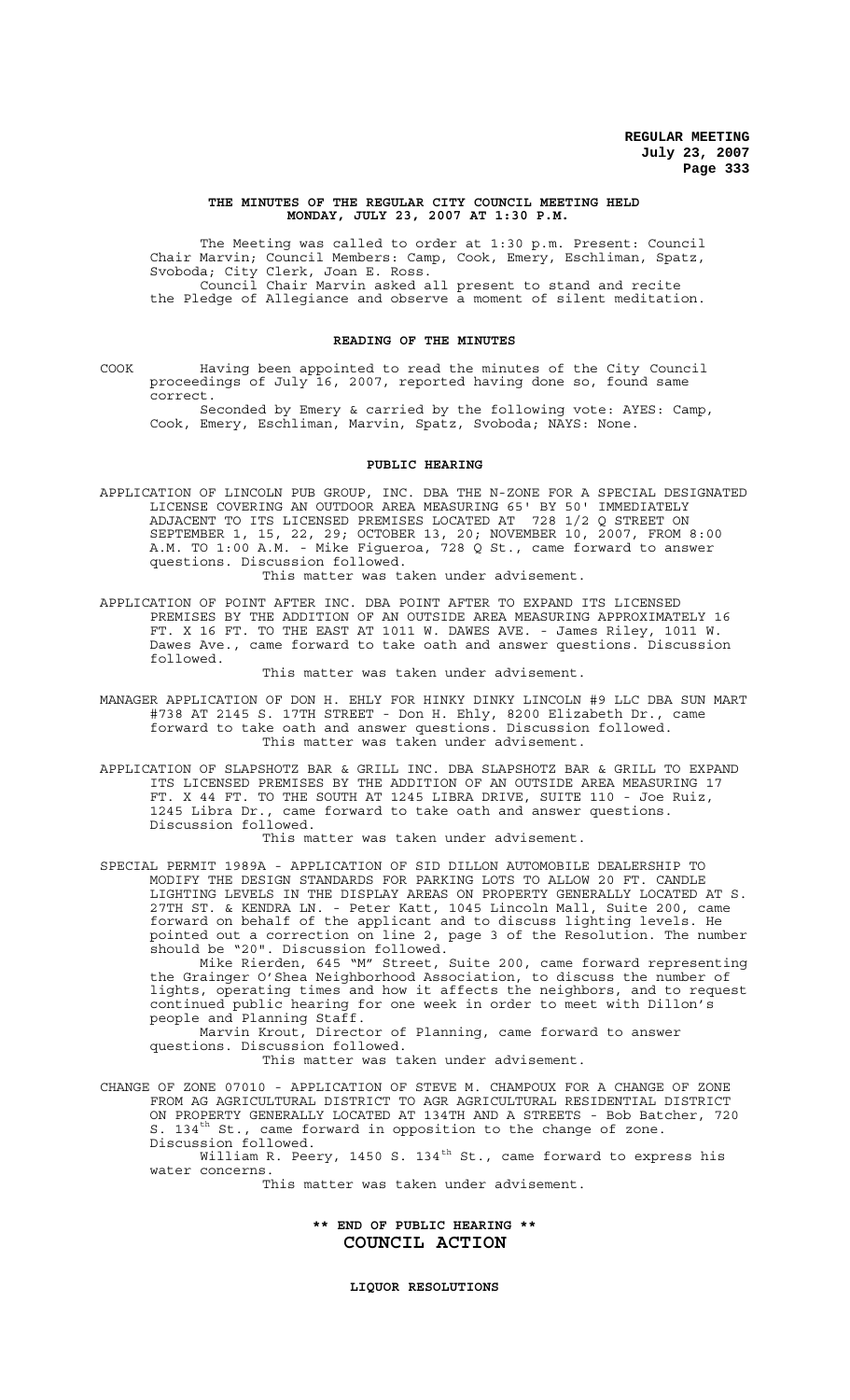#### **THE MINUTES OF THE REGULAR CITY COUNCIL MEETING HELD MONDAY, JULY 23, 2007 AT 1:30 P.M.**

The Meeting was called to order at 1:30 p.m. Present: Council Chair Marvin; Council Members: Camp, Cook, Emery, Eschliman, Spatz, Svoboda; City Clerk, Joan E. Ross. Council Chair Marvin asked all present to stand and recite the Pledge of Allegiance and observe a moment of silent meditation.

#### **READING OF THE MINUTES**

COOK Having been appointed to read the minutes of the City Council proceedings of July 16, 2007, reported having done so, found same correct.

Seconded by Emery & carried by the following vote: AYES: Camp, Cook, Emery, Eschliman, Marvin, Spatz, Svoboda; NAYS: None.

#### **PUBLIC HEARING**

APPLICATION OF LINCOLN PUB GROUP, INC. DBA THE N-ZONE FOR A SPECIAL DESIGNATED LICENSE COVERING AN OUTDOOR AREA MEASURING 65' BY 50' IMMEDIATELY ADJACENT TO ITS LICENSED PREMISES LOCATED AT 728 1/2 Q STREET ON SEPTEMBER 1, 15, 22, 29; OCTOBER 13, 20; NOVEMBER 10, 2007, FROM 8:00 A.M. TO 1:00 A.M. - Mike Figueroa, 728 Q St., came forward to answer questions. Discussion followed.

This matter was taken under advisement.

APPLICATION OF POINT AFTER INC. DBA POINT AFTER TO EXPAND ITS LICENSED PREMISES BY THE ADDITION OF AN OUTSIDE AREA MEASURING APPROXIMATELY 16 FT. X 16 FT. TO THE EAST AT 1011 W. DAWES AVE. - James Riley, 1011 W. Dawes Ave., came forward to take oath and answer questions. Discussion followed.

This matter was taken under advisement.

- MANAGER APPLICATION OF DON H. EHLY FOR HINKY DINKY LINCOLN #9 LLC DBA SUN MART #738 AT 2145 S. 17TH STREET - Don H. Ehly, 8200 Elizabeth Dr., came forward to take oath and answer questions. Discussion followed. This matter was taken under advisement.
- APPLICATION OF SLAPSHOTZ BAR & GRILL INC. DBA SLAPSHOTZ BAR & GRILL TO EXPAND ITS LICENSED PREMISES BY THE ADDITION OF AN OUTSIDE AREA MEASURING 17 FT. X 44 FT. TO THE SOUTH AT 1245 LIBRA DRIVE, SUITE 110 - Joe Ruiz, 1245 Libra Dr., came forward to take oath and answer questions. Discussion followed.

This matter was taken under advisement.

SPECIAL PERMIT 1989A - APPLICATION OF SID DILLON AUTOMOBILE DEALERSHIP TO MODIFY THE DESIGN STANDARDS FOR PARKING LOTS TO ALLOW 20 FT. CANDLE LIGHTING LEVELS IN THE DISPLAY AREAS ON PROPERTY GENERALLY LOCATED AT S. 27TH ST. & KENDRA LN. - Peter Katt, 1045 Lincoln Mall, Suite 200, came forward on behalf of the applicant and to discuss lighting levels. He pointed out a correction on line 2, page 3 of the Resolution. The number should be "20". Discussion followed.

Mike Rierden, 645 "M" Street, Suite 200, came forward representing the Grainger O'Shea Neighborhood Association, to discuss the number of lights, operating times and how it affects the neighbors, and to request continued public hearing for one week in order to meet with Dillon's people and Planning Staff.

Marvin Krout, Director of Planning, came forward to answer questions. Discussion followed.

This matter was taken under advisement.

CHANGE OF ZONE 07010 - APPLICATION OF STEVE M. CHAMPOUX FOR A CHANGE OF ZONE FROM AG AGRICULTURAL DISTRICT TO AGR AGRICULTURAL RESIDENTIAL DISTRICT ON PROPERTY GENERALLY LOCATED AT 134TH AND A STREETS - Bob Batcher, 720 S. 134<sup>th</sup> St., came forward in opposition to the change of zone. Discussion followed.

William R. Peery, 1450 S. 134<sup>th</sup> St., came forward to express his water concerns.

This matter was taken under advisement.

# **\*\* END OF PUBLIC HEARING \*\* COUNCIL ACTION**

**LIQUOR RESOLUTIONS**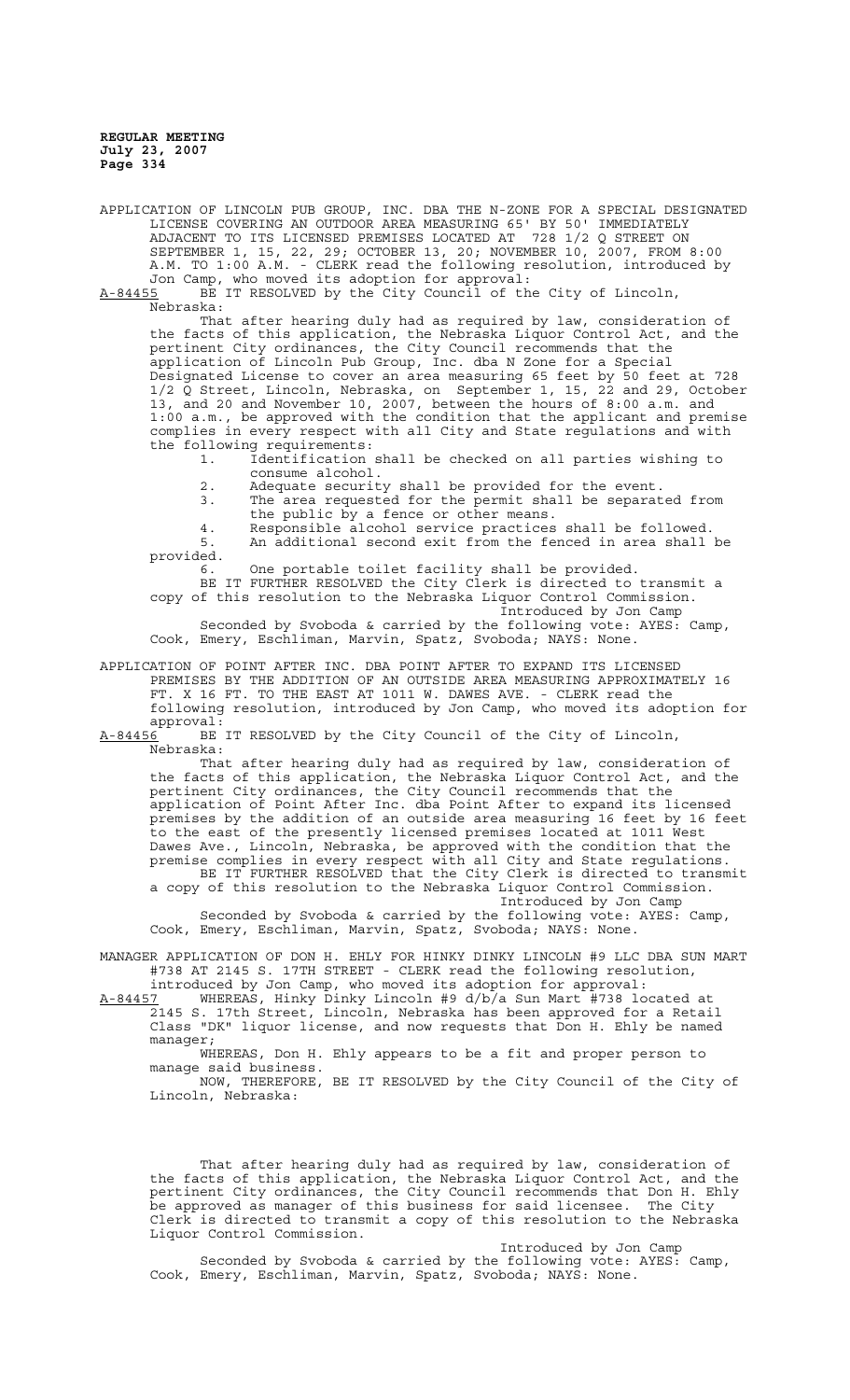APPLICATION OF LINCOLN PUB GROUP, INC. DBA THE N-ZONE FOR A SPECIAL DESIGNATED LICENSE COVERING AN OUTDOOR AREA MEASURING 65' BY 50' IMMEDIATELY ADJACENT TO ITS LICENSED PREMISES LOCATED AT 728 1/2 Q STREET ON SEPTEMBER 1, 15, 22, 29; OCTOBER 13, 20; NOVEMBER 10, 2007, FROM 8:00 A.M. TO 1:00 A.M. - CLERK read the following resolution, introduced by Jon Camp, who moved its adoption for approval:

A-84455 BE IT RESOLVED by the City Council of the City of Lincoln, Nebraska:

That after hearing duly had as required by law, consideration of the facts of this application, the Nebraska Liquor Control Act, and the pertinent City ordinances, the City Council recommends that the application of Lincoln Pub Group, Inc. dba N Zone for a Special Designated License to cover an area measuring 65 feet by 50 feet at 728 1/2 Q Street, Lincoln, Nebraska, on September 1, 15, 22 and 29, October 13, and 20 and November 10, 2007, between the hours of 8:00 a.m. and 1:00 a.m., be approved with the condition that the applicant and premise complies in every respect with all City and State regulations and with the following requirements:

- 1. Identification shall be checked on all parties wishing to consume alcohol.
- 2. Adequate security shall be provided for the event.
- 3. The area requested for the permit shall be separated from the public by a fence or other means.

4. Responsible alcohol service practices shall be followed. 5. An additional second exit from the fenced in area shall be provided.

6. One portable toilet facility shall be provided. BE IT FURTHER RESOLVED the City Clerk is directed to transmit a

copy of this resolution to the Nebraska Liquor Control Commission. Introduced by Jon Camp

Seconded by Svoboda & carried by the following vote: AYES: Camp, Cook, Emery, Eschliman, Marvin, Spatz, Svoboda; NAYS: None.

APPLICATION OF POINT AFTER INC. DBA POINT AFTER TO EXPAND ITS LICENSED PREMISES BY THE ADDITION OF AN OUTSIDE AREA MEASURING APPROXIMATELY 16 FT. X 16 FT. TO THE EAST AT 1011 W. DAWES AVE. - CLERK read the following resolution, introduced by Jon Camp, who moved its adoption for approval:

A-84456 BE IT RESOLVED by the City Council of the City of Lincoln, Nebraska:

That after hearing duly had as required by law, consideration of the facts of this application, the Nebraska Liquor Control Act, and the pertinent City ordinances, the City Council recommends that the application of Point After Inc. dba Point After to expand its licensed premises by the addition of an outside area measuring 16 feet by 16 feet to the east of the presently licensed premises located at 1011 West Dawes Ave., Lincoln, Nebraska, be approved with the condition that the premise complies in every respect with all City and State regulations. BE IT FURTHER RESOLVED that the City Clerk is directed to transmit a copy of this resolution to the Nebraska Liquor Control Commission.

Introduced by Jon Camp Seconded by Svoboda & carried by the following vote: AYES: Camp, Cook, Emery, Eschliman, Marvin, Spatz, Svoboda; NAYS: None.

MANAGER APPLICATION OF DON H. EHLY FOR HINKY DINKY LINCOLN #9 LLC DBA SUN MART #738 AT 2145 S. 17TH STREET - CLERK read the following resolution, introduced by Jon Camp, who moved its adoption for approval:

A-84457 WHEREAS, Hinky Dinky Lincoln #9 d/b/a Sun Mart #738 located at 2145 S. 17th Street, Lincoln, Nebraska has been approved for a Retail Class "DK" liquor license, and now requests that Don H. Ehly be named manager;

WHEREAS, Don H. Ehly appears to be a fit and proper person to manage said business. NOW, THEREFORE, BE IT RESOLVED by the City Council of the City of Lincoln, Nebraska:

That after hearing duly had as required by law, consideration of the facts of this application, the Nebraska Liquor Control Act, and the pertinent City ordinances, the City Council recommends that Don H. Ehly be approved as manager of this business for said licensee. The City Clerk is directed to transmit a copy of this resolution to the Nebraska Liquor Control Commission.

Introduced by Jon Camp Seconded by Svoboda & carried by the following vote: AYES: Camp, Cook, Emery, Eschliman, Marvin, Spatz, Svoboda; NAYS: None.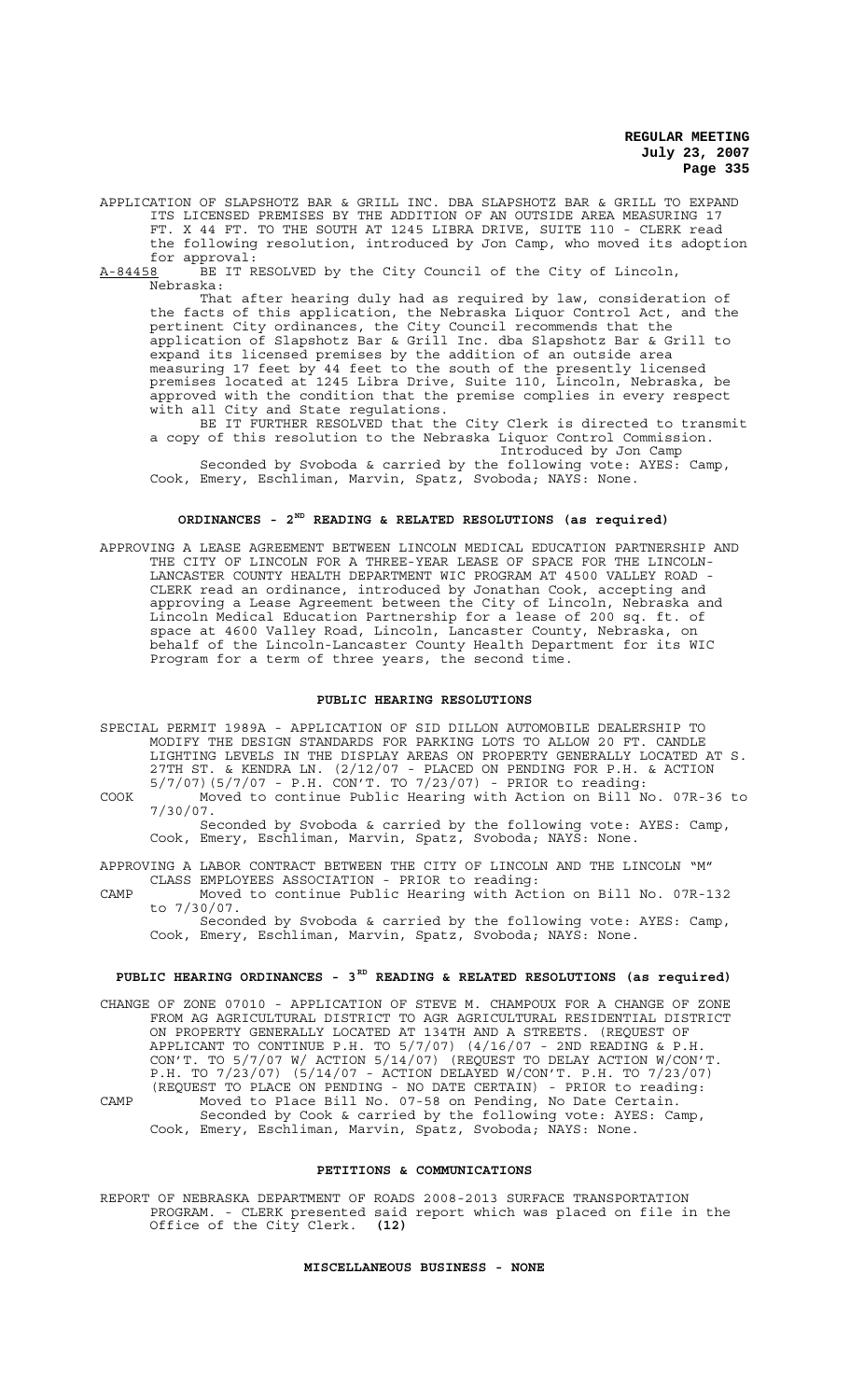APPLICATION OF SLAPSHOTZ BAR & GRILL INC. DBA SLAPSHOTZ BAR & GRILL TO EXPAND ITS LICENSED PREMISES BY THE ADDITION OF AN OUTSIDE AREA MEASURING 17 FT. X 44 FT. TO THE SOUTH AT 1245 LIBRA DRIVE, SUITE 110 - CLERK read the following resolution, introduced by Jon Camp, who moved its adoption

for approval: A-84458 BE IT RESOLVED by the City Council of the City of Lincoln,

Nebraska:

That after hearing duly had as required by law, consideration of the facts of this application, the Nebraska Liquor Control Act, and the pertinent City ordinances, the City Council recommends that the application of Slapshotz Bar & Grill Inc. dba Slapshotz Bar & Grill to expand its licensed premises by the addition of an outside area measuring 17 feet by 44 feet to the south of the presently licensed premises located at 1245 Libra Drive, Suite 110, Lincoln, Nebraska, be approved with the condition that the premise complies in every respect with all City and State regulations.

BE IT FURTHER RESOLVED that the City Clerk is directed to transmit a copy of this resolution to the Nebraska Liquor Control Commission. Introduced by Jon Camp

Seconded by Svoboda & carried by the following vote: AYES: Camp, Cook, Emery, Eschliman, Marvin, Spatz, Svoboda; NAYS: None.

# **ORDINANCES - 2ND READING & RELATED RESOLUTIONS (as required)**

APPROVING A LEASE AGREEMENT BETWEEN LINCOLN MEDICAL EDUCATION PARTNERSHIP AND THE CITY OF LINCOLN FOR A THREE-YEAR LEASE OF SPACE FOR THE LINCOLN-LANCASTER COUNTY HEALTH DEPARTMENT WIC PROGRAM AT 4500 VALLEY ROAD - CLERK read an ordinance, introduced by Jonathan Cook, accepting and approving a Lease Agreement between the City of Lincoln, Nebraska and Lincoln Medical Education Partnership for a lease of 200 sq. ft. of space at 4600 Valley Road, Lincoln, Lancaster County, Nebraska, on behalf of the Lincoln-Lancaster County Health Department for its WIC Program for a term of three years, the second time.

#### **PUBLIC HEARING RESOLUTIONS**

- SPECIAL PERMIT 1989A APPLICATION OF SID DILLON AUTOMOBILE DEALERSHIP TO MODIFY THE DESIGN STANDARDS FOR PARKING LOTS TO ALLOW 20 FT. CANDLE LIGHTING LEVELS IN THE DISPLAY AREAS ON PROPERTY GENERALLY LOCATED AT S. 27TH ST. & KENDRA LN. (2/12/07 - PLACED ON PENDING FOR P.H. & ACTION 5/7/07)(5/7/07 - P.H. CON'T. TO 7/23/07) - PRIOR to reading:
- COOK Moved to continue Public Hearing with Action on Bill No. 07R-36 to 7/30/07.

Seconded by Svoboda & carried by the following vote: AYES: Camp, Cook, Emery, Eschliman, Marvin, Spatz, Svoboda; NAYS: None.

APPROVING A LABOR CONTRACT BETWEEN THE CITY OF LINCOLN AND THE LINCOLN "M" CLASS EMPLOYEES ASSOCIATION - PRIOR to reading:

CAMP Moved to continue Public Hearing with Action on Bill No. 07R-132 to 7/30/07.

Seconded by Svoboda & carried by the following vote: AYES: Camp, Cook, Emery, Eschliman, Marvin, Spatz, Svoboda; NAYS: None.

# PUBLIC HEARING ORDINANCES - 3<sup>RD</sup> READING & RELATED RESOLUTIONS (as required)

CHANGE OF ZONE 07010 - APPLICATION OF STEVE M. CHAMPOUX FOR A CHANGE OF ZONE FROM AG AGRICULTURAL DISTRICT TO AGR AGRICULTURAL RESIDENTIAL DISTRICT ON PROPERTY GENERALLY LOCATED AT 134TH AND A STREETS. (REQUEST OF APPLICANT TO CONTINUE P.H. TO 5/7/07) (4/16/07 - 2ND READING & P.H. CON'T. TO 5/7/07 W/ ACTION 5/14/07) (REQUEST TO DELAY ACTION W/CON'T. P.H. TO 7/23/07) (5/14/07 - ACTION DELAYED W/CON'T. P.H. TO 7/23/07) (REQUEST TO PLACE ON PENDING - NO DATE CERTAIN) - PRIOR to reading: CAMP Moved to Place Bill No. 07-58 on Pending, No Date Certain. Seconded by Cook & carried by the following vote: AYES: Camp, Cook, Emery, Eschliman, Marvin, Spatz, Svoboda; NAYS: None.

### **PETITIONS & COMMUNICATIONS**

REPORT OF NEBRASKA DEPARTMENT OF ROADS 2008-2013 SURFACE TRANSPORTATION PROGRAM. - CLERK presented said report which was placed on file in the Office of the City Clerk. **(12)**

#### **MISCELLANEOUS BUSINESS - NONE**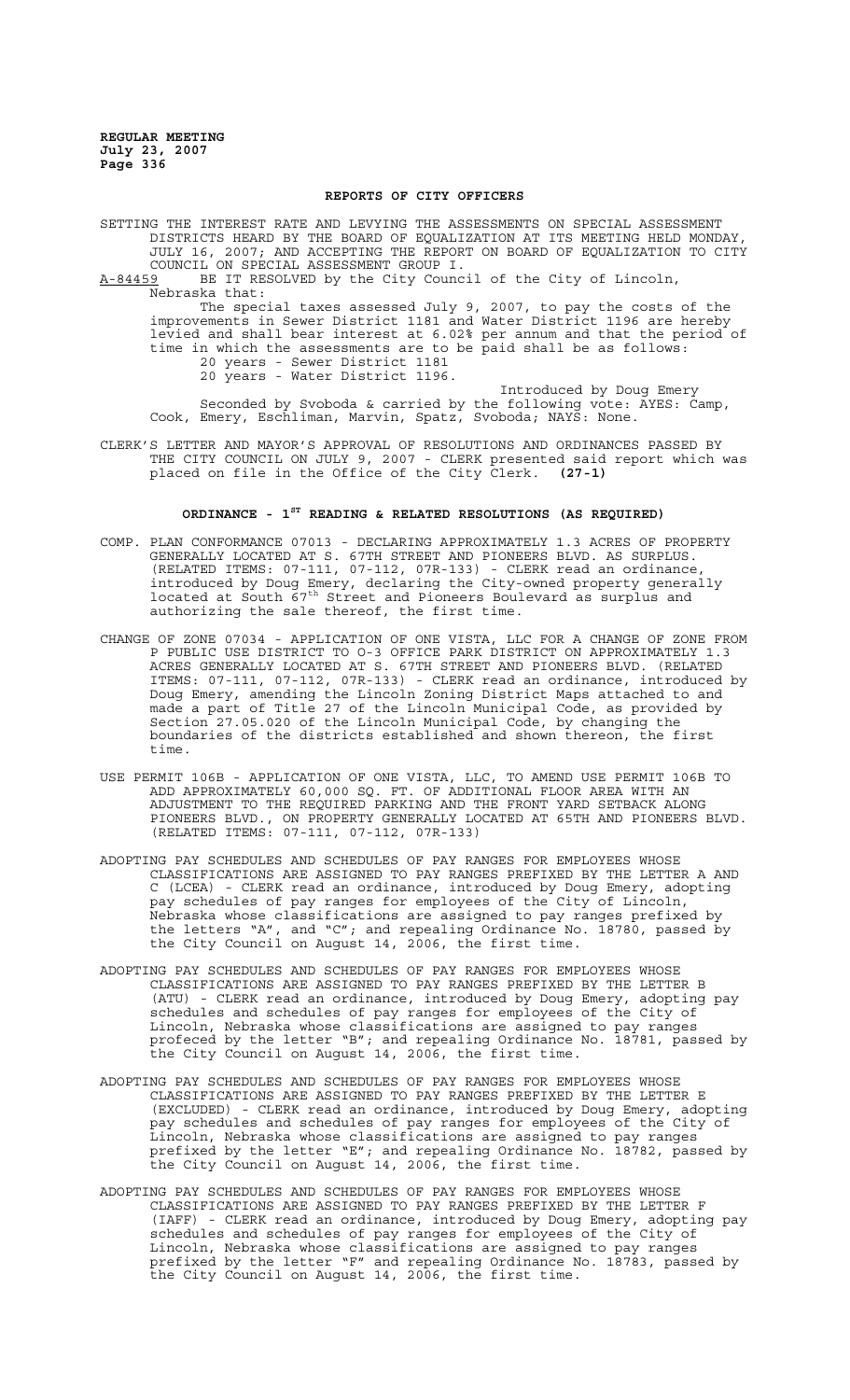#### **REPORTS OF CITY OFFICERS**

SETTING THE INTEREST RATE AND LEVYING THE ASSESSMENTS ON SPECIAL ASSESSMENT DISTRICTS HEARD BY THE BOARD OF EQUALIZATION AT ITS MEETING HELD MONDAY, JULY 16, 2007; AND ACCEPTING THE REPORT ON BOARD OF EQUALIZATION TO CITY COUNCIL ON SPECIAL ASSESSMENT GROUP I.<br>A-84459 BE IT RESOLVED by the City Counc BE IT RESOLVED by the City Council of the City of Lincoln, Nebraska that: The special taxes assessed July 9, 2007, to pay the costs of the

improvements in Sewer District 1181 and Water District 1196 are hereby levied and shall bear interest at 6.02% per annum and that the period of time in which the assessments are to be paid shall be as follows: 20 years - Sewer District 1181 20 years - Water District 1196.

Introduced by Doug Emery Seconded by Svoboda & carried by the following vote: AYES: Camp, Cook, Emery, Eschliman, Marvin, Spatz, Svoboda; NAYS: None.

CLERK'S LETTER AND MAYOR'S APPROVAL OF RESOLUTIONS AND ORDINANCES PASSED BY THE CITY COUNCIL ON JULY 9, 2007 - CLERK presented said report which was placed on file in the Office of the City Clerk. **(27-1)**

### **ORDINANCE - 1ST READING & RELATED RESOLUTIONS (AS REQUIRED)**

- COMP. PLAN CONFORMANCE 07013 DECLARING APPROXIMATELY 1.3 ACRES OF PROPERTY GENERALLY LOCATED AT S. 67TH STREET AND PIONEERS BLVD. AS SURPLUS. (RELATED ITEMS: 07-111, 07-112, 07R-133) - CLERK read an ordinance, introduced by Doug Emery, declaring the City-owned property generally located at South  $\tilde{67}^{\text{th}}$  Street and Pioneers Boulevard as surplus and authorizing the sale thereof, the first time.
- CHANGE OF ZONE 07034 APPLICATION OF ONE VISTA, LLC FOR A CHANGE OF ZONE FROM P PUBLIC USE DISTRICT TO O-3 OFFICE PARK DISTRICT ON APPROXIMATELY 1.3 ACRES GENERALLY LOCATED AT S. 67TH STREET AND PIONEERS BLVD. (RELATED ITEMS: 07-111, 07-112, 07R-133) - CLERK read an ordinance, introduced by Doug Emery, amending the Lincoln Zoning District Maps attached to and made a part of Title 27 of the Lincoln Municipal Code, as provided by Section 27.05.020 of the Lincoln Municipal Code, by changing the boundaries of the districts established and shown thereon, the first time.
- USE PERMIT 106B APPLICATION OF ONE VISTA, LLC, TO AMEND USE PERMIT 106B TO ADD APPROXIMATELY 60,000 SQ. FT. OF ADDITIONAL FLOOR AREA WITH AN ADJUSTMENT TO THE REQUIRED PARKING AND THE FRONT YARD SETBACK ALONG PIONEERS BLVD., ON PROPERTY GENERALLY LOCATED AT 65TH AND PIONEERS BLVD. (RELATED ITEMS: 07-111, 07-112, 07R-133)
- ADOPTING PAY SCHEDULES AND SCHEDULES OF PAY RANGES FOR EMPLOYEES WHOSE CLASSIFICATIONS ARE ASSIGNED TO PAY RANGES PREFIXED BY THE LETTER A AND C (LCEA) - CLERK read an ordinance, introduced by Doug Emery, adopting pay schedules of pay ranges for employees of the City of Lincoln, Nebraska whose classifications are assigned to pay ranges prefixed by the letters "A", and "C"; and repealing Ordinance No. 18780, passed by the City Council on August 14, 2006, the first time.
- ADOPTING PAY SCHEDULES AND SCHEDULES OF PAY RANGES FOR EMPLOYEES WHOSE CLASSIFICATIONS ARE ASSIGNED TO PAY RANGES PREFIXED BY THE LETTER B (ATU) - CLERK read an ordinance, introduced by Doug Emery, adopting pay schedules and schedules of pay ranges for employees of the City of Lincoln, Nebraska whose classifications are assigned to pay ranges profeced by the letter "B"; and repealing Ordinance No. 18781, passed by the City Council on August 14, 2006, the first time.
- ADOPTING PAY SCHEDULES AND SCHEDULES OF PAY RANGES FOR EMPLOYEES WHOSE CLASSIFICATIONS ARE ASSIGNED TO PAY RANGES PREFIXED BY THE LETTER E (EXCLUDED) - CLERK read an ordinance, introduced by Doug Emery, adopting pay schedules and schedules of pay ranges for employees of the City of Lincoln, Nebraska whose classifications are assigned to pay ranges prefixed by the letter "E"; and repealing Ordinance No. 18782, passed by the City Council on August 14, 2006, the first time.
- ADOPTING PAY SCHEDULES AND SCHEDULES OF PAY RANGES FOR EMPLOYEES WHOSE CLASSIFICATIONS ARE ASSIGNED TO PAY RANGES PREFIXED BY THE LETTER F (IAFF) - CLERK read an ordinance, introduced by Doug Emery, adopting pay schedules and schedules of pay ranges for employees of the City of Lincoln, Nebraska whose classifications are assigned to pay ranges prefixed by the letter "F" and repealing Ordinance No. 18783, passed by the City Council on August 14, 2006, the first time.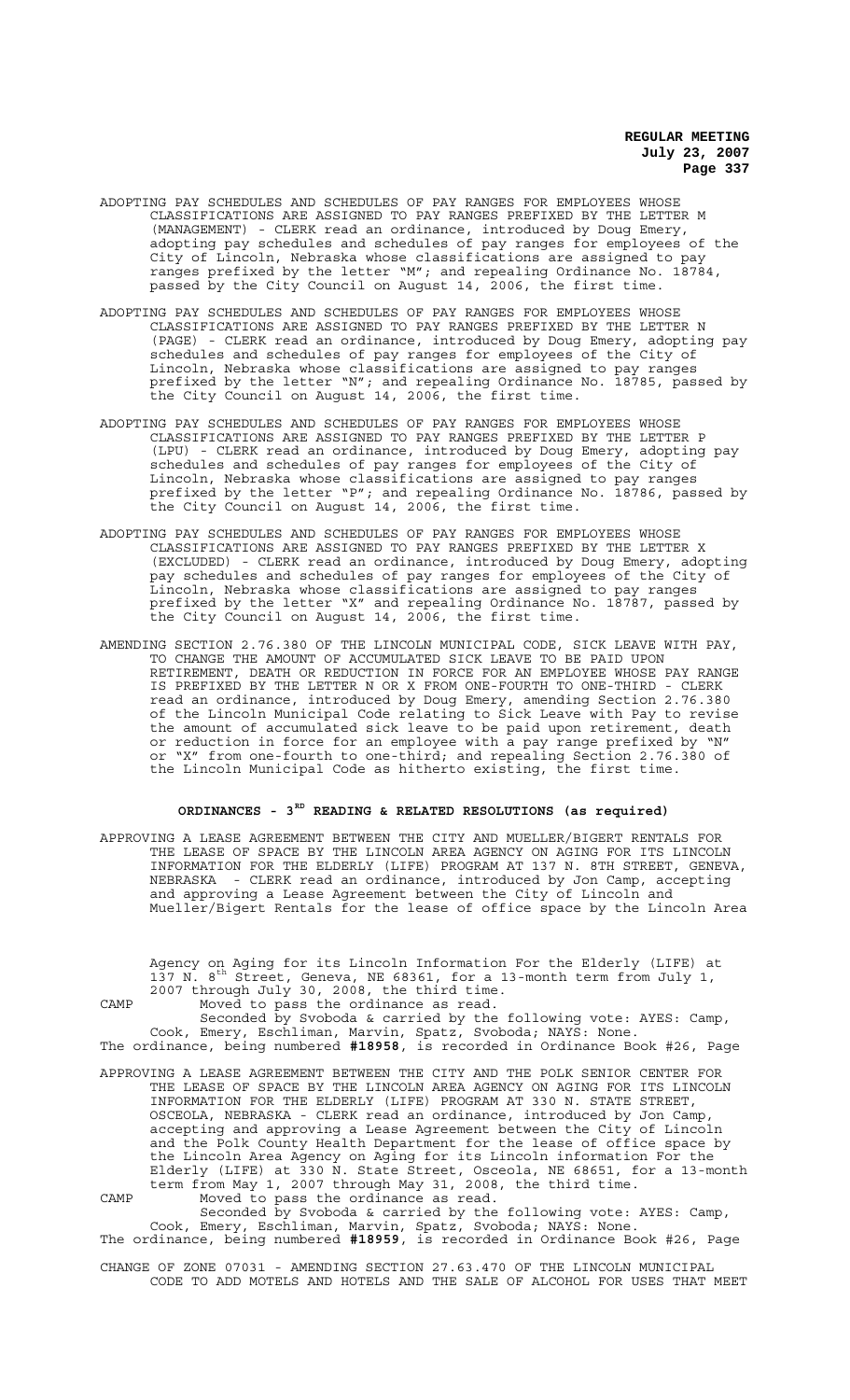- ADOPTING PAY SCHEDULES AND SCHEDULES OF PAY RANGES FOR EMPLOYEES WHOSE CLASSIFICATIONS ARE ASSIGNED TO PAY RANGES PREFIXED BY THE LETTER M (MANAGEMENT) - CLERK read an ordinance, introduced by Doug Emery, adopting pay schedules and schedules of pay ranges for employees of the City of Lincoln, Nebraska whose classifications are assigned to pay ranges prefixed by the letter "M"; and repealing Ordinance No. 18784, passed by the City Council on August 14, 2006, the first time.
- ADOPTING PAY SCHEDULES AND SCHEDULES OF PAY RANGES FOR EMPLOYEES WHOSE CLASSIFICATIONS ARE ASSIGNED TO PAY RANGES PREFIXED BY THE LETTER N (PAGE) - CLERK read an ordinance, introduced by Doug Emery, adopting pay schedules and schedules of pay ranges for employees of the City of Lincoln, Nebraska whose classifications are assigned to pay ranges prefixed by the letter "N"; and repealing Ordinance No. 18785, passed by the City Council on August 14, 2006, the first time.
- ADOPTING PAY SCHEDULES AND SCHEDULES OF PAY RANGES FOR EMPLOYEES WHOSE CLASSIFICATIONS ARE ASSIGNED TO PAY RANGES PREFIXED BY THE LETTER P (LPU) - CLERK read an ordinance, introduced by Doug Emery, adopting pay schedules and schedules of pay ranges for employees of the City of Lincoln, Nebraska whose classifications are assigned to pay ranges prefixed by the letter "P"; and repealing Ordinance No. 18786, passed by the City Council on August 14, 2006, the first time.
- ADOPTING PAY SCHEDULES AND SCHEDULES OF PAY RANGES FOR EMPLOYEES WHOSE CLASSIFICATIONS ARE ASSIGNED TO PAY RANGES PREFIXED BY THE LETTER X (EXCLUDED) - CLERK read an ordinance, introduced by Doug Emery, adopting pay schedules and schedules of pay ranges for employees of the City of Lincoln, Nebraska whose classifications are assigned to pay ranges prefixed by the letter "X" and repealing Ordinance No. 18787, passed by the City Council on August 14, 2006, the first time.
- AMENDING SECTION 2.76.380 OF THE LINCOLN MUNICIPAL CODE, SICK LEAVE WITH PAY, TO CHANGE THE AMOUNT OF ACCUMULATED SICK LEAVE TO BE PAID UPON RETIREMENT, DEATH OR REDUCTION IN FORCE FOR AN EMPLOYEE WHOSE PAY RANGE IS PREFIXED BY THE LETTER N OR X FROM ONE-FOURTH TO ONE-THIRD - CLERK read an ordinance, introduced by Doug Emery, amending Section 2.76.380 of the Lincoln Municipal Code relating to Sick Leave with Pay to revise the amount of accumulated sick leave to be paid upon retirement, death or reduction in force for an employee with a pay range prefixed by "N" or "X" from one-fourth to one-third; and repealing Section 2.76.380 of the Lincoln Municipal Code as hitherto existing, the first time.

# **ORDINANCES - 3RD READING & RELATED RESOLUTIONS (as required)**

APPROVING A LEASE AGREEMENT BETWEEN THE CITY AND MUELLER/BIGERT RENTALS FOR THE LEASE OF SPACE BY THE LINCOLN AREA AGENCY ON AGING FOR ITS LINCOLN INFORMATION FOR THE ELDERLY (LIFE) PROGRAM AT 137 N. 8TH STREET, GENEVA, NEBRASKA - CLERK read an ordinance, introduced by Jon Camp, accepting and approving a Lease Agreement between the City of Lincoln and Mueller/Bigert Rentals for the lease of office space by the Lincoln Area

Agency on Aging for its Lincoln Information For the Elderly (LIFE) at 137 N. 8<sup>th</sup> Street, Geneva, NE 68361, for a 13-month term from July 1, 2007 through July 30, 2008, the third time.

CAMP Moved to pass the ordinance as read.

Seconded by Svoboda & carried by the following vote: AYES: Camp, Cook, Emery, Eschliman, Marvin, Spatz, Svoboda; NAYS: None. The ordinance, being numbered **#18958**, is recorded in Ordinance Book #26, Page

APPROVING A LEASE AGREEMENT BETWEEN THE CITY AND THE POLK SENIOR CENTER FOR THE LEASE OF SPACE BY THE LINCOLN AREA AGENCY ON AGING FOR ITS LINCOLN INFORMATION FOR THE ELDERLY (LIFE) PROGRAM AT 330 N. STATE STREET, OSCEOLA, NEBRASKA - CLERK read an ordinance, introduced by Jon Camp, accepting and approving a Lease Agreement between the City of Lincoln and the Polk County Health Department for the lease of office space by the Lincoln Area Agency on Aging for its Lincoln information For the Elderly (LIFE) at 330 N. State Street, Osceola, NE 68651, for a 13-month term from May 1, 2007 through May 31, 2008, the third time. CAMP Moved to pass the ordinance as read.

Seconded by Svoboda & carried by the following vote: AYES: Camp, Cook, Emery, Eschliman, Marvin, Spatz, Svoboda; NAYS: None. The ordinance, being numbered **#18959**, is recorded in Ordinance Book #26, Page

CHANGE OF ZONE 07031 - AMENDING SECTION 27.63.470 OF THE LINCOLN MUNICIPAL CODE TO ADD MOTELS AND HOTELS AND THE SALE OF ALCOHOL FOR USES THAT MEET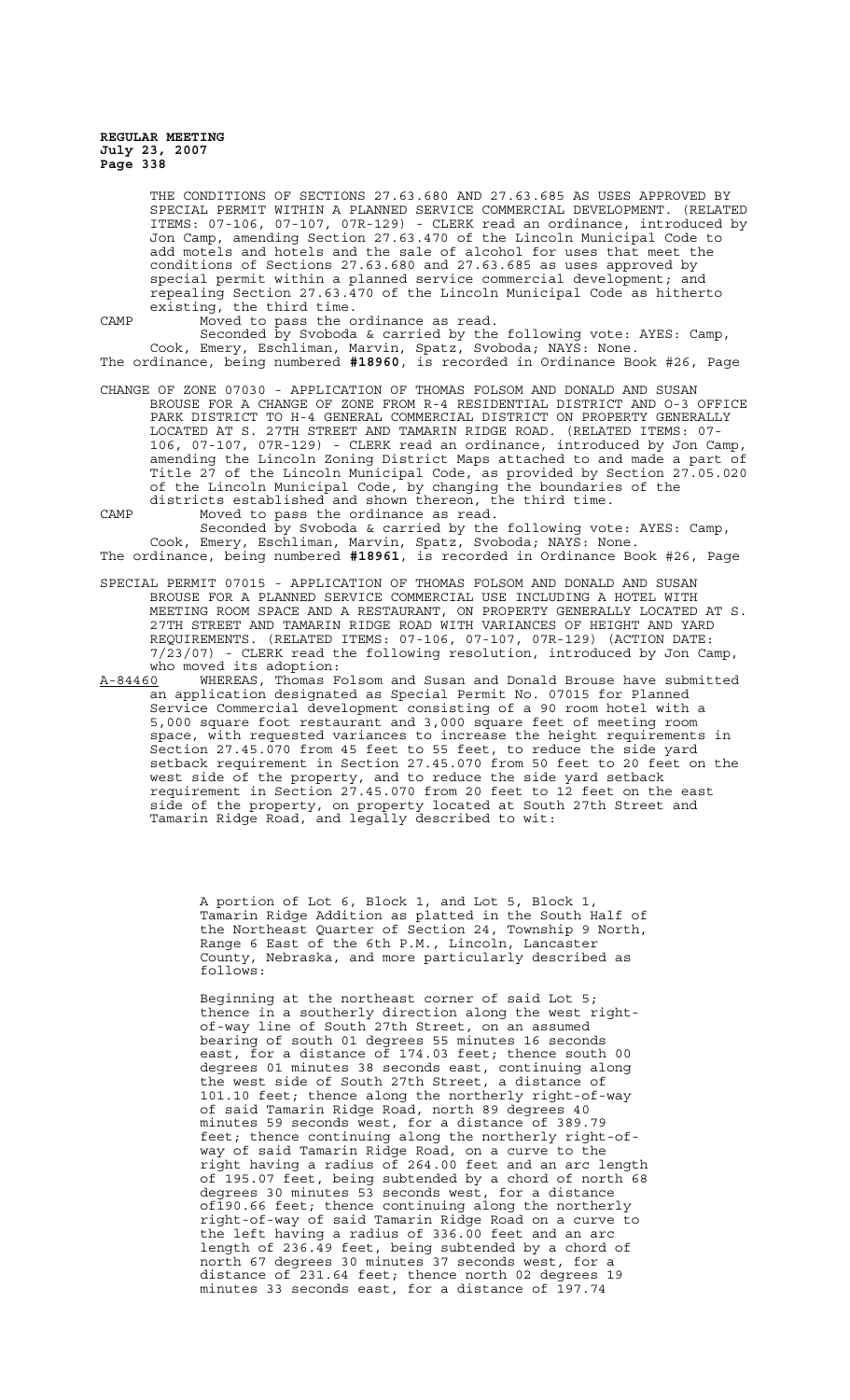THE CONDITIONS OF SECTIONS 27.63.680 AND 27.63.685 AS USES APPROVED BY SPECIAL PERMIT WITHIN A PLANNED SERVICE COMMERCIAL DEVELOPMENT. (RELATED ITEMS: 07-106, 07-107, 07R-129) - CLERK read an ordinance, introduced by Jon Camp, amending Section 27.63.470 of the Lincoln Municipal Code to add motels and hotels and the sale of alcohol for uses that meet the conditions of Sections 27.63.680 and 27.63.685 as uses approved by special permit within a planned service commercial development; and repealing Section 27.63.470 of the Lincoln Municipal Code as hitherto existing, the third time.

CAMP Moved to pass the ordinance as read.

Seconded by Svoboda & carried by the following vote: AYES: Camp, Cook, Emery, Eschliman, Marvin, Spatz, Svoboda; NAYS: None. The ordinance, being numbered **#18960**, is recorded in Ordinance Book #26, Page

- CHANGE OF ZONE 07030 APPLICATION OF THOMAS FOLSOM AND DONALD AND SUSAN BROUSE FOR A CHANGE OF ZONE FROM R-4 RESIDENTIAL DISTRICT AND O-3 OFFICE PARK DISTRICT TO H-4 GENERAL COMMERCIAL DISTRICT ON PROPERTY GENERALLY LOCATED AT S. 27TH STREET AND TAMARIN RIDGE ROAD. (RELATED ITEMS: 07- 106, 07-107, 07R-129) - CLERK read an ordinance, introduced by Jon Camp, amending the Lincoln Zoning District Maps attached to and made a part of Title 27 of the Lincoln Municipal Code, as provided by Section 27.05.020 of the Lincoln Municipal Code, by changing the boundaries of the districts established and shown thereon, the third time.
- CAMP Moved to pass the ordinance as read.

Seconded by Svoboda & carried by the following vote: AYES: Camp, Cook, Emery, Eschliman, Marvin, Spatz, Svoboda; NAYS: None. The ordinance, being numbered **#18961**, is recorded in Ordinance Book #26, Page

- SPECIAL PERMIT 07015 APPLICATION OF THOMAS FOLSOM AND DONALD AND SUSAN BROUSE FOR A PLANNED SERVICE COMMERCIAL USE INCLUDING A HOTEL WITH MEETING ROOM SPACE AND A RESTAURANT, ON PROPERTY GENERALLY LOCATED AT S. 27TH STREET AND TAMARIN RIDGE ROAD WITH VARIANCES OF HEIGHT AND YARD REQUIREMENTS. (RELATED ITEMS: 07-106, 07-107, 07R-129) (ACTION DATE: 7/23/07) - CLERK read the following resolution, introduced by Jon Camp, who moved its adoption:
- A-84460 WHEREAS, Thomas Folsom and Susan and Donald Brouse have submitted an application designated as Special Permit No. 07015 for Planned Service Commercial development consisting of a 90 room hotel with a 5,000 square foot restaurant and 3,000 square feet of meeting room space, with requested variances to increase the height requirements in Section 27.45.070 from 45 feet to 55 feet, to reduce the side yard setback requirement in Section 27.45.070 from 50 feet to 20 feet on the west side of the property, and to reduce the side yard setback requirement in Section 27.45.070 from 20 feet to 12 feet on the east side of the property, on property located at South 27th Street and Tamarin Ridge Road, and legally described to wit:

A portion of Lot 6, Block 1, and Lot 5, Block 1, Tamarin Ridge Addition as platted in the South Half of the Northeast Quarter of Section 24, Township 9 North, Range 6 East of the 6th P.M., Lincoln, Lancaster County, Nebraska, and more particularly described as follows:

Beginning at the northeast corner of said Lot 5; thence in a southerly direction along the west rightof-way line of South 27th Street, on an assumed bearing of south 01 degrees 55 minutes 16 seconds east, for a distance of 174.03 feet; thence south 00 degrees 01 minutes 38 seconds east, continuing along the west side of South 27th Street, a distance of 101.10 feet; thence along the northerly right-of-way of said Tamarin Ridge Road, north 89 degrees 40 minutes 59 seconds west, for a distance of 389.79 feet; thence continuing along the northerly right-ofway of said Tamarin Ridge Road, on a curve to the right having a radius of 264.00 feet and an arc length of 195.07 feet, being subtended by a chord of north 68 degrees 30 minutes 53 seconds west, for a distance of190.66 feet; thence continuing along the northerly right-of-way of said Tamarin Ridge Road on a curve to the left having a radius of 336.00 feet and an arc length of 236.49 feet, being subtended by a chord of north 67 degrees 30 minutes 37 seconds west, for a distance of 231.64 feet; thence north 02 degrees 19 minutes 33 seconds east, for a distance of 197.74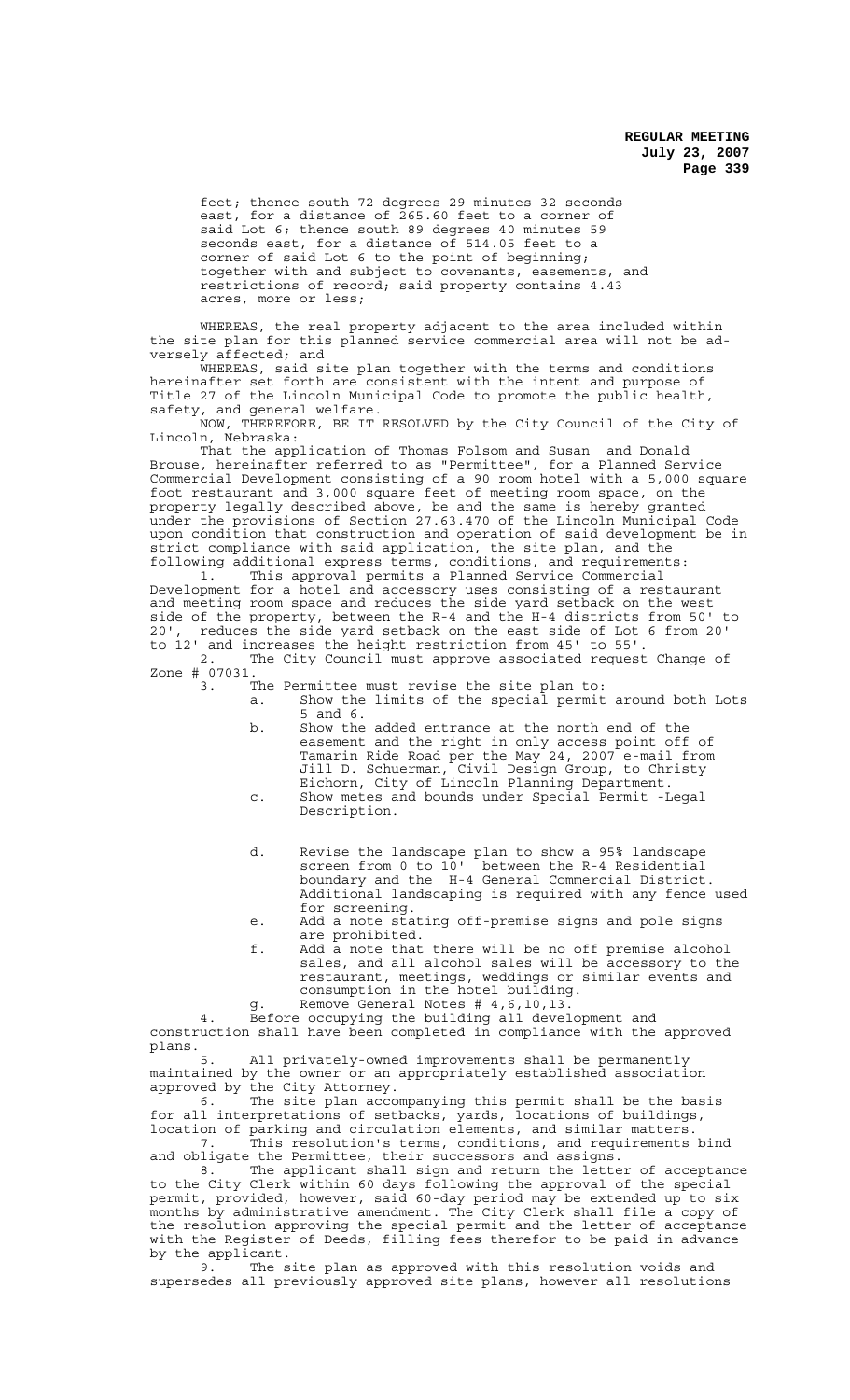feet; thence south 72 degrees 29 minutes 32 seconds east, for a distance of 265.60 feet to a corner of said Lot 6; thence south 89 degrees 40 minutes 59 seconds east, for a distance of 514.05 feet to a corner of said Lot 6 to the point of beginning; together with and subject to covenants, easements, and restrictions of record; said property contains 4.43 acres, more or less;

WHEREAS, the real property adjacent to the area included within the site plan for this planned service commercial area will not be adversely affected; and

WHEREAS, said site plan together with the terms and conditions hereinafter set forth are consistent with the intent and purpose of Title 27 of the Lincoln Municipal Code to promote the public health, safety, and general welfare.

NOW, THEREFORE, BE IT RESOLVED by the City Council of the City of Lincoln, Nebraska:

That the application of Thomas Folsom and Susan and Donald Brouse, hereinafter referred to as "Permittee", for a Planned Service Commercial Development consisting of a 90 room hotel with a 5,000 square foot restaurant and 3,000 square feet of meeting room space, on the property legally described above, be and the same is hereby granted under the provisions of Section 27.63.470 of the Lincoln Municipal Code upon condition that construction and operation of said development be in strict compliance with said application, the site plan, and the following additional express terms, conditions, and requirements:

1. This approval permits a Planned Service Commercial Development for a hotel and accessory uses consisting of a restaurant and meeting room space and reduces the side yard setback on the west side of the property, between the R-4 and the H-4 districts from 50' to 20', reduces the side yard setback on the east side of Lot 6 from 20' to 12' and increases the height restriction from 45' to 55'.

2. The City Council must approve associated request Change of Zone # 07031.<br>3. T

3. The Permittee must revise the site plan to:

- a. Show the limits of the special permit around both Lots 5 and 6.
- b. Show the added entrance at the north end of the easement and the right in only access point off of Tamarin Ride Road per the May 24, 2007 e-mail from Jill D. Schuerman, Civil Design Group, to Christy Eichorn, City of Lincoln Planning Department. c. Show metes and bounds under Special Permit -Legal
- Description.
- d. Revise the landscape plan to show a 95% landscape screen from 0 to 10' between the R-4 Residential boundary and the H-4 General Commercial District. Additional landscaping is required with any fence used for screening.
- e. Add a note stating off-premise signs and pole signs are prohibited.
- f. Add a note that there will be no off premise alcohol sales, and all alcohol sales will be accessory to the restaurant, meetings, weddings or similar events and consumption in the hotel building.
- g. Remove General Notes # 4,6,10,13.

4. Before occupying the building all development and construction shall have been completed in compliance with the approved plans.<br>5.

All privately-owned improvements shall be permanently maintained by the owner or an appropriately established association approved by the City Attorney.

6. The site plan accompanying this permit shall be the basis for all interpretations of setbacks, yards, locations of buildings, location of parking and circulation elements, and similar matters. 7. This resolution's terms, conditions, and requirements bind

and obligate the Permittee, their successors and assigns. 8. The applicant shall sign and return the letter of acceptance to the City Clerk within 60 days following the approval of the special permit, provided, however, said 60-day period may be extended up to six months by administrative amendment. The City Clerk shall file a copy of the resolution approving the special permit and the letter of acceptance with the Register of Deeds, filling fees therefor to be paid in advance by the applicant.<br> $9^{n}$  The s

The site plan as approved with this resolution voids and supersedes all previously approved site plans, however all resolutions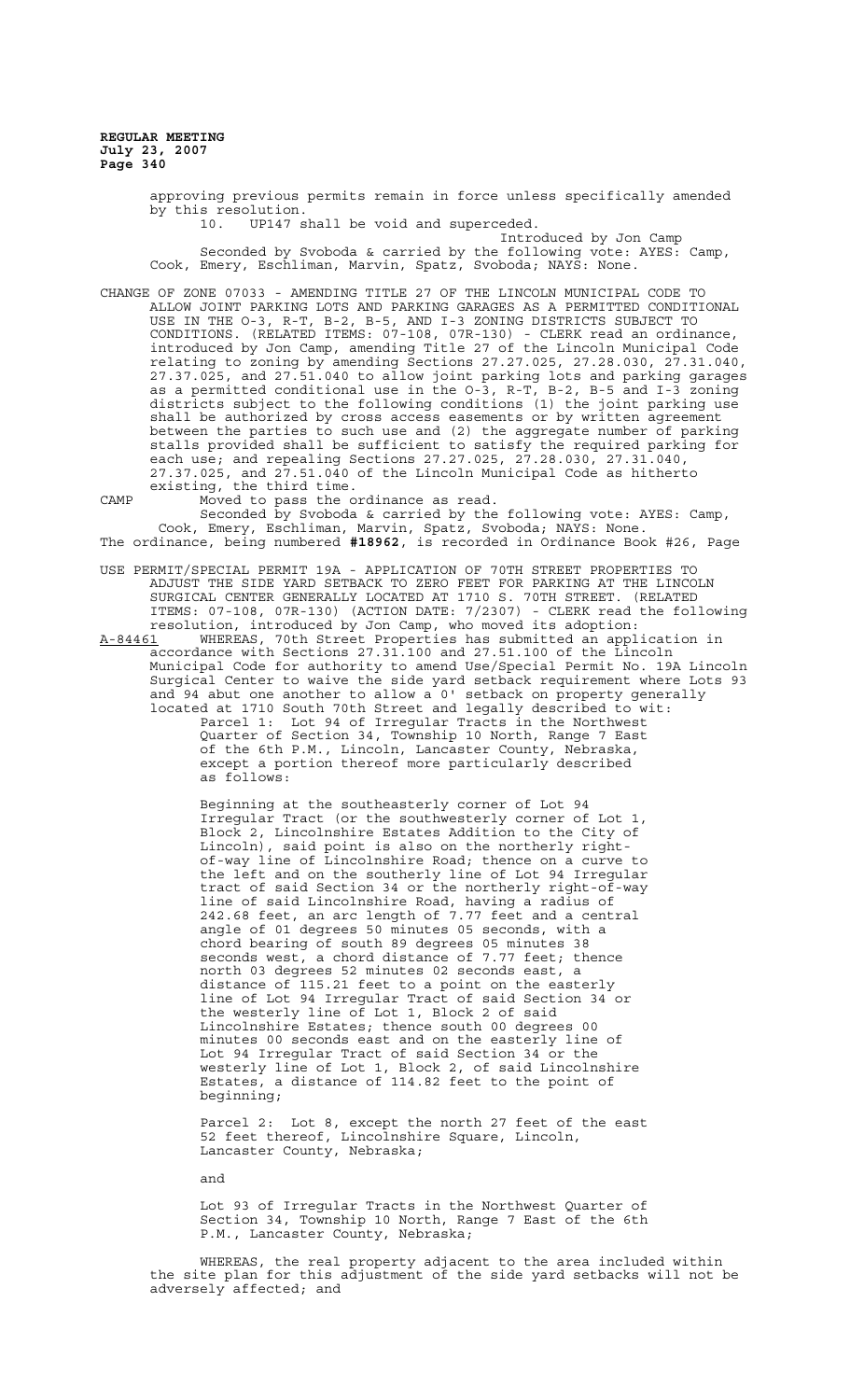> approving previous permits remain in force unless specifically amended by this resolution.<br>10. UP147 s UP147 shall be void and superceded. Introduced by Jon Camp Seconded by Svoboda & carried by the following vote: AYES: Camp, Cook, Emery, Eschliman, Marvin, Spatz, Svoboda; NAYS: None.

CHANGE OF ZONE 07033 - AMENDING TITLE 27 OF THE LINCOLN MUNICIPAL CODE TO ALLOW JOINT PARKING LOTS AND PARKING GARAGES AS A PERMITTED CONDITIONAL USE IN THE O-3, R-T, B-2, B-5, AND I-3 ZONING DISTRICTS SUBJECT TO CONDITIONS. (RELATED ITEMS: 07-108, 07R-130) - CLERK read an ordinance, introduced by Jon Camp, amending Title 27 of the Lincoln Municipal Code relating to zoning by amending Sections 27.27.025, 27.28.030, 27.31.040, 27.37.025, and 27.51.040 to allow joint parking lots and parking garages as a permitted conditional use in the O-3, R-T, B-2, B-5 and I-3 zoning districts subject to the following conditions (1) the joint parking use shall be authorized by cross access easements or by written agreement between the parties to such use and (2) the aggregate number of parking stalls provided shall be sufficient to satisfy the required parking for each use; and repealing Sections 27.27.025, 27.28.030, 27.31.040, 27.37.025, and 27.51.040 of the Lincoln Municipal Code as hitherto existing, the third time.

CAMP Moved to pass the ordinance as read. Seconded by Svoboda & carried by the following vote: AYES: Camp, Cook, Emery, Eschliman, Marvin, Spatz, Svoboda; NAYS: None. The ordinance, being numbered **#18962**, is recorded in Ordinance Book #26, Page

- USE PERMIT/SPECIAL PERMIT 19A APPLICATION OF 70TH STREET PROPERTIES TO ADJUST THE SIDE YARD SETBACK TO ZERO FEET FOR PARKING AT THE LINCOLN SURGICAL CENTER GENERALLY LOCATED AT 1710 S. 70TH STREET. (RELATED ITEMS: 07-108, 07R-130) (ACTION DATE: 7/2307) - CLERK read the following resolution, introduced by Jon Camp, who moved its adoption:
- A-84461 WHEREAS, 70th Street Properties has submitted an application in accordance with Sections 27.31.100 and 27.51.100 of the Lincoln Municipal Code for authority to amend Use/Special Permit No. 19A Lincoln Surgical Center to waive the side yard setback requirement where Lots 93 and 94 abut one another to allow a 0' setback on property generally located at 1710 South 70th Street and legally described to wit: Parcel 1: Lot 94 of Irregular Tracts in the Northwest Quarter of Section 34, Township 10 North, Range 7 East of the 6th P.M., Lincoln, Lancaster County, Nebraska, except a portion thereof more particularly described as follows:

Beginning at the southeasterly corner of Lot 94 Irregular Tract (or the southwesterly corner of Lot 1, Block 2, Lincolnshire Estates Addition to the City of Lincoln), said point is also on the northerly rightof-way line of Lincolnshire Road; thence on a curve to the left and on the southerly line of Lot 94 Irregular tract of said Section 34 or the northerly right-of-way line of said Lincolnshire Road, having a radius of 242.68 feet, an arc length of 7.77 feet and a central angle of 01 degrees 50 minutes 05 seconds, with a chord bearing of south 89 degrees 05 minutes 38 seconds west, a chord distance of 7.77 feet; thence north 03 degrees 52 minutes 02 seconds east, a distance of 115.21 feet to a point on the easterly line of Lot 94 Irregular Tract of said Section 34 or the westerly line of Lot 1, Block 2 of said Lincolnshire Estates; thence south 00 degrees 00 minutes 00 seconds east and on the easterly line of Lot 94 Irregular Tract of said Section 34 or the westerly line of Lot 1, Block 2, of said Lincolnshire Estates, a distance of 114.82 feet to the point of beginning;

Parcel 2: Lot 8, except the north 27 feet of the east 52 feet thereof, Lincolnshire Square, Lincoln, Lancaster County, Nebraska;

and

Lot 93 of Irregular Tracts in the Northwest Quarter of Section 34, Township 10 North, Range 7 East of the 6th P.M., Lancaster County, Nebraska;

WHEREAS, the real property adjacent to the area included within the site plan for this adjustment of the side yard setbacks will not be adversely affected; and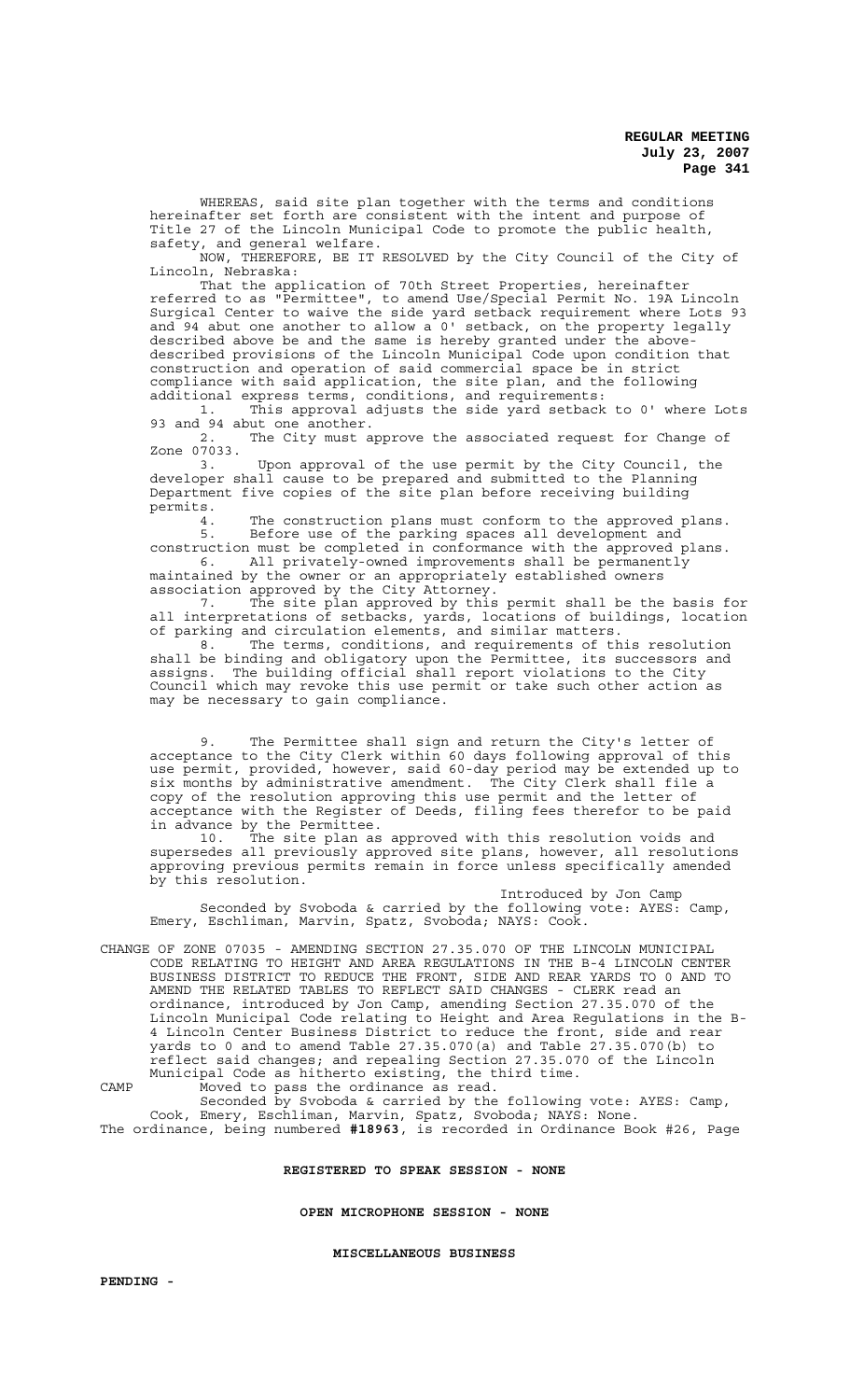WHEREAS, said site plan together with the terms and conditions hereinafter set forth are consistent with the intent and purpose of Title 27 of the Lincoln Municipal Code to promote the public health, safety, and general welfare.

NOW, THEREFORE, BE IT RESOLVED by the City Council of the City of Lincoln, Nebraska:

That the application of 70th Street Properties, hereinafter referred to as "Permittee", to amend Use/Special Permit No. 19A Lincoln Surgical Center to waive the side yard setback requirement where Lots 93 and 94 abut one another to allow a  $0'$  setback, on the property legally described above be and the same is hereby granted under the abovedescribed provisions of the Lincoln Municipal Code upon condition that construction and operation of said commercial space be in strict compliance with said application, the site plan, and the following additional express terms, conditions, and requirements:

1. This approval adjusts the side yard setback to 0' where Lots 93 and 94 abut one another.<br>2. The City must a

The City must approve the associated request for Change of Zone 07033.<br>3.

Upon approval of the use permit by the City Council, the developer shall cause to be prepared and submitted to the Planning Department five copies of the site plan before receiving building permits.

4. The construction plans must conform to the approved plans. 5. Before use of the parking spaces all development and construction must be completed in conformance with the approved plans.

6. All privately-owned improvements shall be permanently maintained by the owner or an appropriately established owners association approved by the City Attorney.

7. The site plan approved by this permit shall be the basis for all interpretations of setbacks, yards, locations of buildings, location of parking and circulation elements, and similar matters.

8. The terms, conditions, and requirements of this resolution shall be binding and obligatory upon the Permittee, its successors and assigns. The building official shall report violations to the City Council which may revoke this use permit or take such other action as may be necessary to gain compliance.

9. The Permittee shall sign and return the City's letter of acceptance to the City Clerk within 60 days following approval of this use permit, provided, however, said 60-day period may be extended up to six months by administrative amendment. The City Clerk shall file a copy of the resolution approving this use permit and the letter of acceptance with the Register of Deeds, filing fees therefor to be paid in advance by the Permittee.

10. The site plan as approved with this resolution voids and supersedes all previously approved site plans, however, all resolutions approving previous permits remain in force unless specifically amended by this resolution.

Introduced by Jon Camp Seconded by Svoboda & carried by the following vote: AYES: Camp, Emery, Eschliman, Marvin, Spatz, Svoboda; NAYS: Cook.

CHANGE OF ZONE 07035 - AMENDING SECTION 27.35.070 OF THE LINCOLN MUNICIPAL CODE RELATING TO HEIGHT AND AREA REGULATIONS IN THE B-4 LINCOLN CENTER BUSINESS DISTRICT TO REDUCE THE FRONT, SIDE AND REAR YARDS TO 0 AND TO AMEND THE RELATED TABLES TO REFLECT SAID CHANGES - CLERK read an ordinance, introduced by Jon Camp, amending Section 27.35.070 of the Lincoln Municipal Code relating to Height and Area Regulations in the B-4 Lincoln Center Business District to reduce the front, side and rear yards to 0 and to amend Table 27.35.070(a) and Table 27.35.070(b) to reflect said changes; and repealing Section 27.35.070 of the Lincoln Municipal Code as hitherto existing, the third time. CAMP Moved to pass the ordinance as read.

Seconded by Svoboda & carried by the following vote: AYES: Camp, Cook, Emery, Eschliman, Marvin, Spatz, Svoboda; NAYS: None. The ordinance, being numbered **#18963**, is recorded in Ordinance Book #26, Page

## **REGISTERED TO SPEAK SESSION - NONE**

**OPEN MICROPHONE SESSION - NONE**

**MISCELLANEOUS BUSINESS**